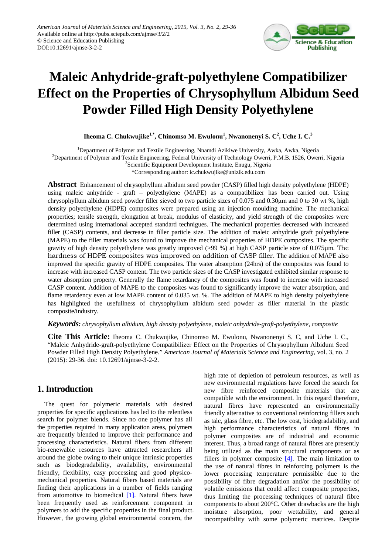

# **Maleic Anhydride-graft-polyethylene Compatibilizer Effect on the Properties of Chrysophyllum Albidum Seed Powder Filled High Density Polyethylene**

**Iheoma C. Chukwujike1,\*, Chinomso M. Ewulonu1 , Nwanonenyi S. C<sup>2</sup> , Uche I. C.<sup>3</sup>**

<sup>1</sup>Department of Polymer and Textile Engineering, Nnamdi Azikiwe University, Awka, Awka, Nigeria <sup>2</sup>Department of Polymer and Textile Engineering, Federal University of Technology Owerri, P.M.B. 1526, Owerri, Nigeria <sup>3</sup>Scientific Equipment Development Institute, Enugu, Nigeria

\*Corresponding author: ic.chukwujike@unizik.edu.com

**Abstract** Enhancement of chrysophyllum albidum seed powder (CASP) filled high density polyethylene (HDPE) using maleic anhydride - graft – polyethylene (MAPE) as a compatibilizer has been carried out. Using chrysophyllum albidum seed powder filler sieved to two particle sizes of 0.075 and 0.30μm and 0 to 30 wt %, high density polyethylene (HDPE) composites were prepared using an injection moulding machine. The mechanical properties; tensile strength, elongation at break, modulus of elasticity, and yield strength of the composites were determined using international accepted standard technigues. The mechanical properties decreased with increased filler (CASP) contents, and decrease in filler particle size. The addition of maleic anhydride graft polyethylene (MAPE) to the filler materials was found to improve the mechanical properties of HDPE composites. The specific gravity of high density polyethylene was greatly improved (>99 %) at high CASP particle size of 0.075µm. The hardness of HDPE composites was improved on addition of CASP filler. The addition of MAPE also improved the specific gravity of HDPE composites. The water absorption (24hrs) of the composites was found to increase with increased CASP content. The two particle sizes of the CASP investigated exhibited similar response to water absorption property. Generally the flame retardancy of the composites was found to increase with increased CASP content. Addition of MAPE to the composites was found to significantly improve the water absorption, and flame retardency even at low MAPE content of 0.035 wt. %. The addition of MAPE to high density polyethylene has highlighted the usefullness of chrysophyllum albidum seed powder as filler material in the plastic composite/industry.

#### *Keywords: chrysophyllum albidum, high density polyethylene, maleic anhydride-graft-polyethylene, composite*

**Cite This Article:** Iheoma C. Chukwujike, Chinomso M. Ewulonu, Nwanonenyi S. C, and Uche I. C., "Maleic Anhydride-graft-polyethylene Compatibilizer Effect on the Properties of Chrysophyllum Albidum Seed Powder Filled High Density Polyethylene." *American Journal of Materials Science and Engineering*, vol. 3, no. 2 (2015): 29-36. doi: 10.12691/ajmse-3-2-2.

## **1. Introduction**

The quest for polymeric materials with desired properties for specific applications has led to the relentless search for polymer blends. Since no one polymer has all the properties required in many application areas, polymers are frequently blended to improve their performance and processing characteristics. Natural fibers from different bio-renewable resources have attracted researchers all around the globe owing to their unique intrinsic properties such as biodegradability, availability, environmental friendly, flexibility, easy processing and good physicomechanical properties. Natural fibers based materials are finding their applications in a number of fields ranging from automotive to biomedical [\[1\].](#page-7-0) Natural fibers have been frequently used as reinforcement component in polymers to add the specific properties in the final product. However, the growing global environmental concern, the high rate of depletion of petroleum resources, as well as new environmental regulations have forced the search for new fibre reinforced composite materials that are compatible with the environment. In this regard therefore, natural fibres have represented an environmentally friendly alternative to conventional reinforcing fillers such as talc, glass fibre, etc. The low cost, biodegradability, and high performance characteristics of natural fibres in polymer composites are of industrial and economic interest. Thus, a broad range of natural fibres are presently being utilized as the main structural components or as fillers in polymer composite [\[4\].](#page-7-1) The main limitation to the use of natural fibres in reinforcing polymers is the lower processing temperature permissible due to the possibility of fibre degradation and/or the possibility of volatile emissions that could affect composite properties, thus limiting the processing techniques of natural fibre components to about 200°C. Other drawbacks are the high moisture absorption, poor wettability, and general incompatibility with some polymeric matrices. Despite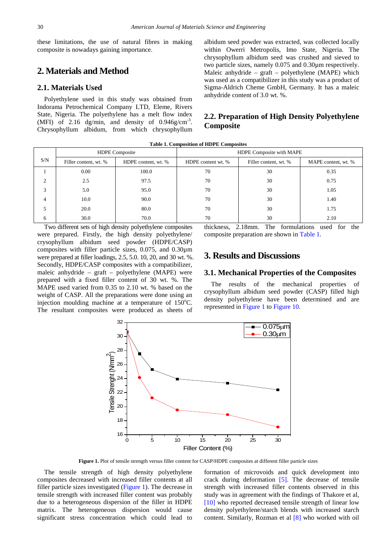these limitations, the use of natural fibres in making composite is nowadays gaining importance.

# **2. Materials and Method**

#### **2.1. Materials Used**

Polyethylene used in this study was obtained from Indorama Petrochemical Company LTD, Eleme, Rivers State, Nigeria. The polyethylene has a melt flow index (MFI) of 2.16 dg/min, and density of  $0.946$ g/cm<sup>-3</sup>. Chrysophyllum albidum, from which chrysophyllum

albidum seed powder was extracted, was collected locally within Owerri Metropolis, Imo State, Nigeria. The chrysophyllum albidum seed was crushed and sieved to two particle sizes, namely 0.075 and 0.30µm respectively. Maleic anhydride – graft – polyethylene (MAPE) which was used as a compatibilizer in this study was a product of Sigma-Aldrich Cheme GmbH, Germany. It has a maleic anhydride content of 3.0 wt. %.

## **2.2. Preparation of High Density Polyethylene Composite**

**Table 1. Composition of HDPE Composites**

<span id="page-1-0"></span>

|                |                       | <b>HDPE</b> Composite | HDPE Composite with MAPE |                       |                     |  |
|----------------|-----------------------|-----------------------|--------------------------|-----------------------|---------------------|--|
| S/N            | Filler content, wt. % | HDPE content, wt. %   | HDPE content wt. %       | Filler content, wt. % | MAPE content, wt. % |  |
|                | 0.00                  | 100.0                 | 70                       | 30                    | 0.35                |  |
| $\overline{c}$ | 2.5                   | 97.5                  | 70                       | 30                    | 0.75                |  |
| 3              | 5.0                   | 95.0                  | 70                       | 30                    | 1.05                |  |
| 4              | 10.0                  | 90.0                  | 70                       | 30                    | 1.40                |  |
| 5              | 20.0                  | 80.0                  | 70                       | 30                    | 1.75                |  |
| 6              | 30.0                  | 70.0                  | 70                       | 30                    | 2.10                |  |

Two different sets of high density polyethylene composites were prepared. Firstly, the high density polyethylene/ crysophyllum albidum seed powder (HDPE/CASP) composites with filler particle sizes, 0.075, and 0.30µm were prepared at filler loadings, 2.5, 5.0. 10, 20, and 30 wt. %. Secondly, HDPE/CASP composites with a compatibilizer, maleic anhydride – graft – polyethylene (MAPE) were prepared with a fixed filler content of 30 wt. %. The MAPE used varied from 0.35 to 2.10 wt. % based on the weight of CASP. All the preparations were done using an injection moulding machine at a temperature of  $150^{\circ}$ C. The resultant composites were produced as sheets of

thickness, 2.18mm. The formulations used for the composite preparation are shown in [Table 1.](#page-1-0)

# **3. Results and Discussions**

#### **3.1. Mechanical Properties of the Composites**

The results of the mechanical properties of crysophyllum albidum seed powder (CASP) filled high density polyethylene have been determined and are represented in [Figure 1](#page-1-1) to [Figure](#page-5-0) 10.

<span id="page-1-1"></span>

**Figure 1.** Plot of tensile strength versus filler content for CASP/HDPE composites at different filler particle sizes

The tensile strength of high density polyethylene composites decreased with increased filler contents at all filler particle sizes investigated [\(Figure 1\)](#page-1-1). The decrease in tensile strength with increased filler content was probably due to a heterogeneous dispersion of the filler in HDPE matrix. The heterogeneous dispersion would cause significant stress concentration which could lead to

formation of microvoids and quick development into crack during deformation  $[5]$ . The decrease of tensile strength with increased filler contents observed in this study was in agreement with the findings of Thakore et al, [\[10\]](#page-7-3) who reported decreased tensile strength of linear low density polyethylene/starch blends with increased starch content. Similarly, Rozman et al [\[8\]](#page-7-4) who worked with oil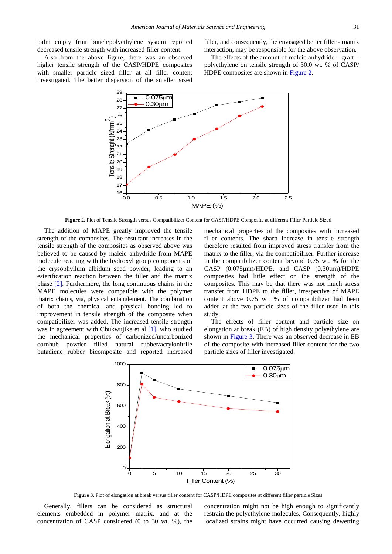palm empty fruit bunch/polyethylene system reported decreased tensile strength with increased filler content.

filler, and consequently, the envisaged better filler - matrix interaction, may be responsible for the above observation.

<span id="page-2-0"></span>Also from the above figure, there was an observed higher tensile strength of the CASP/HDPE composites with smaller particle sized filler at all filler content investigated. The better dispersion of the smaller sized

The effects of the amount of maleic anhydride – graft – polyethylene on tensile strength of 30.0 wt. % of CASP/ HDPE composites are shown in [Figure 2.](#page-2-0)



**Figure 2.** Plot of Tensile Strength versus Compatibilizer Content for CASP/HDPE Composite at different Filler Particle Sized

The addition of MAPE greatly improved the tensile strength of the composites. The resultant increases in the tensile strength of the composites as observed above was believed to be caused by maleic anhydride from MAPE molecule reacting with the hydroxyl group components of the crysophyllum albidum seed powder, leading to an esterification reaction between the filler and the matrix phase [\[2\].](#page-7-5) Furthermore, the long continuous chains in the MAPE molecules were compatible with the polymer matrix chains, via, physical entanglement. The combination of both the chemical and physical bonding led to improvement in tensile strength of the composite when compatibilizer was added. The increased tensile strength was in agreement with Chukwujike et al [\[1\],](#page-7-0) who studied the mechanical properties of carbonized/uncarbonized cornhub powder filled natural rubber/acrylonitrile butadiene rubber bicomposite and reported increased mechanical properties of the composites with increased filler contents. The sharp increase in tensile strength therefore resulted from improved stress transfer from the matrix to the filler, via the compatibilizer. Further increase in the compatibilizer content beyond 0.75 wt. % for the CASP (0.075µm)/HDPE, and CASP (0.30µm)/HDPE composites had little effect on the strength of the composites. This may be that there was not much stress transfer from HDPE to the filler, irrespective of MAPE content above 0.75 wt. % of compatibilizer had been added at the two particle sizes of the filler used in this study.

The effects of filler content and particle size on elongation at break (EB) of high density polyethylene are shown in [Figure 3.](#page-2-1) There was an observed decrease in EB of the composite with increased filler content for the two particle sizes of filler investigated.

<span id="page-2-1"></span>

**Figure 3.** Plot of elongation at break versus filler content for CASP/HDPE composites at different filler particle Sizes

Generally, fillers can be considered as structural elements embedded in polymer matrix, and at the concentration of CASP considered (0 to 30 wt. %), the

concentration might not be high enough to significantly restrain the polyethylene molecules. Consequently, highly localized strains might have occurred causing dewetting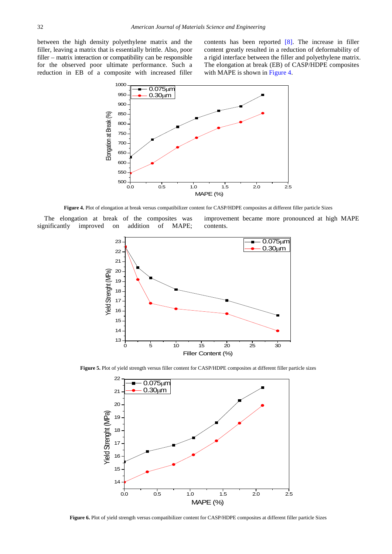<span id="page-3-0"></span>between the high density polyethylene matrix and the filler, leaving a matrix that is essentially brittle. Also, poor filler – matrix interaction or compatibility can be responsible for the observed poor ultimate performance. Such a reduction in EB of a composite with increased filler

contents has been reported [\[8\].](#page-7-4) The increase in filler content greatly resulted in a reduction of deformability of a rigid interface between the filler and polyethylene matrix. The elongation at break (EB) of CASP/HDPE composites with MAPE is shown in [Figure 4.](#page-3-0)



**Figure 4.** Plot of elongation at break versus compatibilizer content for CASP/HDPE composites at different filler particle Sizes

The elongation at break of the composites was significantly improved on addition of MAPE; improvement became more pronounced at high MAPE contents.



<span id="page-3-1"></span>**Figure 5.** Plot of yield strength versus filler content for CASP/HDPE composites at different filler particle sizes



**Figure 6.** Plot of yield strength versus compatibilizer content for CASP/HDPE composites at different filler particle Sizes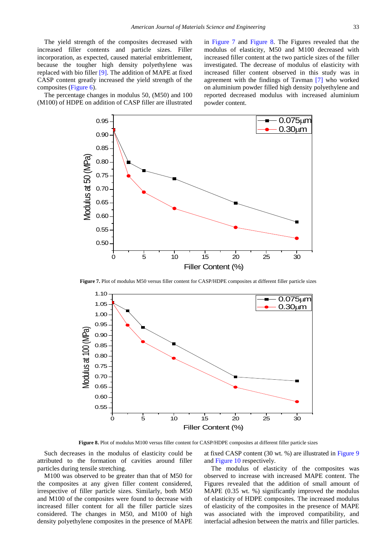The yield strength of the composites decreased with increased filler contents and particle sizes. Filler incorporation, as expected, caused material embrittlement, because the tougher high density polyethylene was replaced with bio filler [\[9\].](#page-7-6) The addition of MAPE at fixed CASP content greatly increased the yield strength of the composites [\(Figure 6\)](#page-3-1).

<span id="page-4-0"></span>The percentage changes in modulus 50, (M50) and 100 (M100) of HDPE on addition of CASP filler are illustrated in [Figure](#page-4-0) 7 and [Figure 8.](#page-4-1) The Figures revealed that the modulus of elasticity, M50 and M100 decreased with increased filler content at the two particle sizes of the filler investigated. The decrease of modulus of elasticity with increased filler content observed in this study was in agreement with the findings of Tavman [\[7\]](#page-7-7) who worked on aluminium powder filled high density polyethylene and reported decreased modulus with increased aluminium powder content.



**Figure 7.** Plot of modulus M50 versus filler content for CASP/HDPE composites at different filler particle sizes

<span id="page-4-1"></span>

**Figure 8.** Plot of modulus M100 versus filler content for CASP/HDPE composites at different filler particle sizes

Such decreases in the modulus of elasticity could be attributed to the formation of cavities around filler particles during tensile stretching.

M100 was observed to be greater than that of M50 for the composites at any given filler content considered, irrespective of filler particle sizes. Similarly, both M50 and M100 of the composites were found to decrease with increased filler content for all the filler particle sizes considered. The changes in M50, and M100 of high density polyethylene composites in the presence of MAPE at fixed CASP content (30 wt. %) are illustrated in [Figure 9](#page-5-1) and [Figure 10](#page-5-0) respectively.

The modulus of elasticity of the composites was observed to increase with increased MAPE content. The Figures revealed that the addition of small amount of MAPE (0.35 wt. %) significantly improved the modulus of elasticity of HDPE composites. The increased modulus of elasticity of the composites in the presence of MAPE was associated with the improved compatibility, and interfacial adhesion between the matrix and filler particles.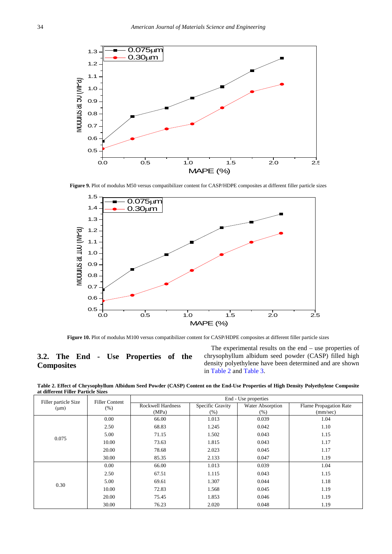<span id="page-5-1"></span>

**Figure 9.** Plot of modulus M50 versus compatibilizer content for CASP/HDPE composites at different filler particle sizes

<span id="page-5-0"></span>

**Figure 10.** Plot of modulus M100 versus compatibilizer content for CASP/HDPE composites at different filler particle sizes

## **3.2. The End - Use Properties of the Composites**

The experimental results on the end – use properties of chrysophyllum albidum seed powder (CASP) filled high density polyethylene have been determined and are shown in [Table 2](#page-5-2) and [Table 3.](#page-6-0)

**Table 2. Effect of Chrysophyllum Albidum Seed Powder (CASP) Content on the End-Use Properties of High Density Polyethylene Composite at different Filler Particle Sizes**

<span id="page-5-2"></span>

| Filler particle Size | <b>Filler Content</b><br>$(\%)$ | End - Use properties     |                  |                  |                               |  |
|----------------------|---------------------------------|--------------------------|------------------|------------------|-------------------------------|--|
| $(\mu m)$            |                                 | <b>Rockwell Hardness</b> | Specific Gravity | Water Absorption | <b>Flame Propagation Rate</b> |  |
|                      |                                 | (MPa)                    | $(\% )$          | $(\%)$           | (mm/sec)                      |  |
|                      | 0.00                            | 66.00                    | 1.013            | 0.039            | 1.04                          |  |
|                      | 2.50                            | 68.83                    | 1.245            | 0.042            | 1.10                          |  |
| 0.075                | 5.00                            | 71.15                    | 1.502            | 0.043            | 1.15                          |  |
|                      | 10.00                           | 73.63                    | 1.815            | 0.043            | 1.17                          |  |
|                      | 20.00                           | 78.68                    | 2.023            | 0.045            | 1.17                          |  |
|                      | 30.00                           | 85.35                    | 2.133            | 0.047            | 1.19                          |  |
|                      | 0.00                            | 66.00                    | 1.013            | 0.039            | 1.04                          |  |
|                      | 2.50                            | 67.51                    | 1.115            | 0.043            | 1.15                          |  |
| 0.30                 | 5.00                            | 69.61                    | 1.307            | 0.044            | 1.18                          |  |
|                      | 10.00                           | 72.83                    | 1.568            | 0.045            | 1.19                          |  |
|                      | 20.00                           | 75.45                    | 1.853            | 0.046            | 1.19                          |  |
|                      | 30.00                           | 76.23                    | 2.020            | 0.048            | 1.19                          |  |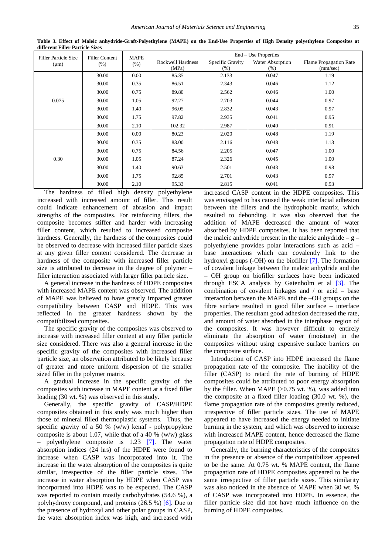<span id="page-6-0"></span>

| <b>Filler Particle Size</b> | <b>Filler Content</b><br>(% ) | <b>MAPE</b><br>$(\%)$ | End – Use Properties     |                  |                  |                               |
|-----------------------------|-------------------------------|-----------------------|--------------------------|------------------|------------------|-------------------------------|
| $(\mu m)$                   |                               |                       | <b>Rockwell Hardness</b> | Specific Gravity | Water Absorption | <b>Flame Propagation Rate</b> |
|                             |                               |                       | (MPa)                    | (% )             | (% )             | (mm/sec)                      |
|                             | 30.00                         | 0.00                  | 85.35                    | 2.133            | 0.047            | 1.19                          |
|                             | 30.00                         | 0.35                  | 86.51                    | 2.343            | 0.046            | 1.12                          |
|                             | 30.00                         | 0.75                  | 89.80                    | 2.562            | 0.046            | 1.00                          |
| 0.075                       | 30.00                         | 1.05                  | 92.27                    | 2.703            | 0.044            | 0.97                          |
|                             | 30.00                         | 1.40                  | 96.05                    | 2.832            | 0.043            | 0.97                          |
|                             | 30.00                         | 1.75                  | 97.82                    | 2.935            | 0.041            | 0.95                          |
|                             | 30.00                         | 2.10                  | 102.32                   | 2.987            | 0.040            | 0.91                          |
|                             | 30.00                         | 0.00                  | 80.23                    | 2.020            | 0.048            | 1.19                          |
|                             | 30.00                         | 0.35                  | 83.00                    | 2.116            | 0.048            | 1.13                          |
|                             | 30.00                         | 0.75                  | 84.56                    | 2.205            | 0.047            | 1.00                          |
| 0.30                        | 30.00                         | 1.05                  | 87.24                    | 2.326            | 0.045            | 1.00                          |
|                             | 30.00                         | 1.40                  | 90.63                    | 2.501            | 0.043            | 0.98                          |
|                             | 30.00                         | 1.75                  | 92.85                    | 2.701            | 0.043            | 0.97                          |
|                             | 30.00                         | 2.10                  | 95.33                    | 2.815            | 0.041            | 0.93                          |

**Table 3. Effect of Maleic anhydride-Graft-Polyethylene (MAPE) on the End-Use Properties of High Density polyethylene Composites at different Filler Particle Sizes**

The hardness of filled high density polyethylene increased with increased amount of filler. This result could indicate enhancement of abrasion and impact strengths of the composites. For reinforcing fillers, the composite becomes stiffer and harder with increasing filler content, which resulted to increased composite hardness. Generally, the hardness of the composites could be observed to decrease with increased filler particle sizes at any given filler content considered. The decrease in hardness of the composite with increased filler particle size is attributed to decrease in the degree of polymer – filler interaction associated with larger filler particle size.

A general increase in the hardness of HDPE composites with increased MAPE content was observed. The addition of MAPE was believed to have greatly imparted greater compatibility between CASP and HDPE. This was reflected in the greater hardness shown by the compatibilized composites.

The specific gravity of the composites was observed to increase with increased filler content at any filler particle size considered. There was also a general increase in the specific gravity of the composites with increased filler particle size, an observation attributed to be likely because of greater and more uniform dispersion of the smaller sized filler in the polymer matrix.

A gradual increase in the specific gravity of the composites with increase in MAPE content at a fixed filler loading (30 wt. %) was observed in this study.

Generally, the specific gravity of CASP/HDPE composites obtained in this study was much higher than those of mineral filled thermoplastic systems. Thus, the specific gravity of a 50 % (w/w) kenaf - polypropylene composite is about 1.07, while that of a 40 % (w/w) glass – polyethylene composite is 1.23 [\[7\].](#page-7-7) The water absorption indices (24 hrs) of the HDPE were found to increase when CASP was incorporated into it. The increase in the water absorption of the composites is quite similar, irrespective of the filler particle sizes. The increase in water absorption by HDPE when CASP was incorporated into HDPE was to be expected. The CASP was reported to contain mostly carbohydrates (54.6 %), a polyhydroxy compound, and proteins (26.5 %) [\[6\].](#page-7-8) Due to the presence of hydroxyl and other polar groups in CASP, the water absorption index was high, and increased with increased CASP content in the HDPE composites. This was envisaged to has caused the weak interfacial adhesion between the fillers and the hydrophobic matrix, which resulted to debonding. It was also observed that the addition of MAPE decreased the amount of water absorbed by HDPE composites. It has been reported that the maleic anhydride present in the maleic anhydride  $-$  g  $$ polyethylene provides polar interactions such as acid – base interactions which can covalently link to the hydroxyl groups (-OH) on the biofiller [\[7\].](#page-7-7) The formation of covalent linkage between the maleic anhydride and the – OH group on biofiller surfaces have been indicated through ESCA analysis by Gatenholm et al [\[3\].](#page-7-9) The combination of covalent linkages and / or acid – base interaction between the MAPE and the –OH groups on the fibre surface resulted in good filler surface – interface properties. The resultant good adhesion decreased the rate, and amount of water absorbed in the interphase region of the composites. It was however difficult to entirely eliminate the absorption of water (moisture) in the composites without using expensive surface barriers on the composite surface.

Introduction of CASP into HDPE increased the flame propagation rate of the composite. The inability of the filler (CASP) to retard the rate of burning of HDPE composites could be attributed to poor energy absorption by the filler. When MAPE  $(>0.75$  wt. %), was added into the composite at a fixed filler loading (30.0 wt. %), the flame propagation rate of the composites greatly reduced, irrespective of filler particle sizes. The use of MAPE appeared to have increased the energy needed to initiate burning in the system, and which was observed to increase with increased MAPE content, hence decreased the flame propagation rate of HDPE composites.

Generally, the burning characteristics of the composites in the presence or absence of the compatibilizer appeared to be the same. At 0.75 wt. % MAPE content, the flame propagation rate of HDPE composites appeared to be the same irrespective of filler particle sizes. This similarity was also noticed in the absence of MAPE when 30 wt. % of CASP was incorporated into HDPE. In essence, the filler particle size did not have much influence on the burning of HDPE composites.